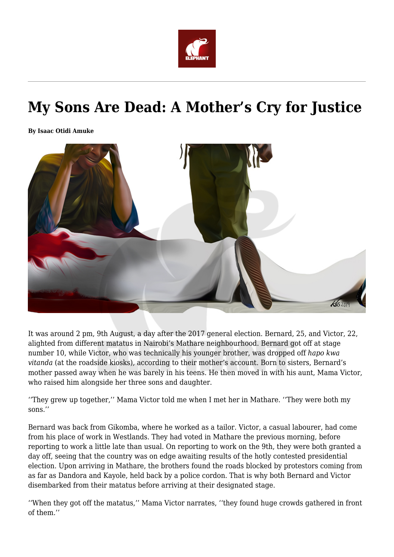

# **My Sons Are Dead: A Mother's Cry for Justice**

**By Isaac Otidi Amuke**



It was around 2 pm, 9th August, a day after the 2017 general election. Bernard, 25, and Victor, 22, alighted from different matatus in Nairobi's Mathare neighbourhood. Bernard got off at stage number 10, while Victor, who was technically his younger brother, was dropped off *hapo kwa vitanda* (at the roadside kiosks)*,* according to their mother's account. Born to sisters, Bernard's mother passed away when he was barely in his teens. He then moved in with his aunt, Mama Victor, who raised him alongside her three sons and daughter.

''They grew up together,'' Mama Victor told me when I met her in Mathare. ''They were both my sons.''

Bernard was back from Gikomba, where he worked as a tailor. Victor, a casual labourer, had come from his place of work in Westlands. They had voted in Mathare the previous morning, before reporting to work a little late than usual. On reporting to work on the 9th, they were both granted a day off, seeing that the country was on edge awaiting results of the hotly contested presidential election. Upon arriving in Mathare, the brothers found the roads blocked by protestors coming from as far as Dandora and Kayole, held back by a police cordon. That is why both Bernard and Victor disembarked from their matatus before arriving at their designated stage.

''When they got off the matatus,'' Mama Victor narrates, ''they found huge crowds gathered in front of them.''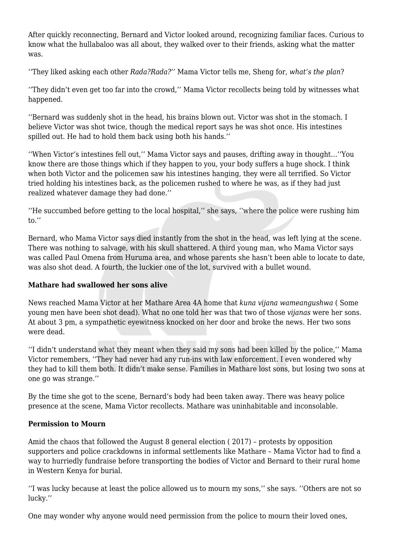After quickly reconnecting, Bernard and Victor looked around, recognizing familiar faces. Curious to know what the hullabaloo was all about, they walked over to their friends, asking what the matter was.

''They liked asking each other *Rada?Rada?''* Mama Victor tells me, Sheng for, *what's the plan*?

''They didn't even get too far into the crowd,'' Mama Victor recollects being told by witnesses what happened.

''Bernard was suddenly shot in the head, his brains blown out. Victor was shot in the stomach. I believe Victor was shot twice, though the medical report says he was shot once. His intestines spilled out. He had to hold them back using both his hands.''

''When Victor's intestines fell out,'' Mama Victor says and pauses, drifting away in thought…''You know there are those things which if they happen to you, your body suffers a huge shock. I think when both Victor and the policemen saw his intestines hanging, they were all terrified. So Victor tried holding his intestines back, as the policemen rushed to where he was, as if they had just realized whatever damage they had done.''

''He succumbed before getting to the local hospital,'' she says, ''where the police were rushing him to.''

Bernard, who Mama Victor says died instantly from the shot in the head, was left lying at the scene. There was nothing to salvage, with his skull shattered. A third young man, who Mama Victor says was called Paul Omena from Huruma area, and whose parents she hasn't been able to locate to date, was also shot dead. A fourth, the luckier one of the lot, survived with a bullet wound.

## **Mathare had swallowed her sons alive**

News reached Mama Victor at her Mathare Area 4A home that *kuna vijana wameangushwa* ( Some young men have been shot dead)*.* What no one told her was that two of those *vijanas* were her sons. At about 3 pm, a sympathetic eyewitness knocked on her door and broke the news. Her two sons were dead.

''I didn't understand what they meant when they said my sons had been killed by the police,'' Mama Victor remembers, ''They had never had any run-ins with law enforcement. I even wondered why they had to kill them both. It didn't make sense. Families in Mathare lost sons, but losing two sons at one go was strange.''

By the time she got to the scene, Bernard's body had been taken away. There was heavy police presence at the scene, Mama Victor recollects. Mathare was uninhabitable and inconsolable.

## **Permission to Mourn**

Amid the chaos that followed the August 8 general election ( 2017) – protests by opposition supporters and police crackdowns in informal settlements like Mathare – Mama Victor had to find a way to hurriedly fundraise before transporting the bodies of Victor and Bernard to their rural home in Western Kenya for burial.

''I was lucky because at least the police allowed us to mourn my sons,'' she says. ''Others are not so lucky.''

One may wonder why anyone would need permission from the police to mourn their loved ones,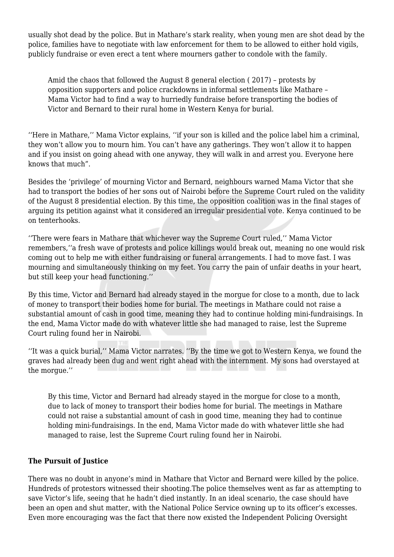usually shot dead by the police. But in Mathare's stark reality, when young men are shot dead by the police, families have to negotiate with law enforcement for them to be allowed to either hold vigils, publicly fundraise or even erect a tent where mourners gather to condole with the family.

Amid the chaos that followed the August 8 general election ( 2017) – protests by opposition supporters and police crackdowns in informal settlements like Mathare – Mama Victor had to find a way to hurriedly fundraise before transporting the bodies of Victor and Bernard to their rural home in Western Kenya for burial.

''Here in Mathare,'' Mama Victor explains, ''if your son is killed and the police label him a criminal, they won't allow you to mourn him. You can't have any gatherings. They won't allow it to happen and if you insist on going ahead with one anyway, they will walk in and arrest you. Everyone here knows that much".

Besides the 'privilege' of mourning Victor and Bernard, neighbours warned Mama Victor that she had to transport the bodies of her sons out of Nairobi before the Supreme Court ruled on the validity of the August 8 presidential election. By this time, the opposition coalition was in the final stages of arguing its petition against what it considered an irregular presidential vote. Kenya continued to be on tenterhooks.

''There were fears in Mathare that whichever way the Supreme Court ruled,'' Mama Victor remembers,''a fresh wave of protests and police killings would break out, meaning no one would risk coming out to help me with either fundraising or funeral arrangements. I had to move fast. I was mourning and simultaneously thinking on my feet. You carry the pain of unfair deaths in your heart, but still keep your head functioning.''

By this time, Victor and Bernard had already stayed in the morgue for close to a month, due to lack of money to transport their bodies home for burial. The meetings in Mathare could not raise a substantial amount of cash in good time, meaning they had to continue holding mini-fundraisings. In the end, Mama Victor made do with whatever little she had managed to raise, lest the Supreme Court ruling found her in Nairobi.

''It was a quick burial,'' Mama Victor narrates. ''By the time we got to Western Kenya, we found the graves had already been dug and went right ahead with the internment. My sons had overstayed at the morgue.''

By this time, Victor and Bernard had already stayed in the morgue for close to a month, due to lack of money to transport their bodies home for burial. The meetings in Mathare could not raise a substantial amount of cash in good time, meaning they had to continue holding mini-fundraisings. In the end, Mama Victor made do with whatever little she had managed to raise, lest the Supreme Court ruling found her in Nairobi.

#### **The Pursuit of Justice**

There was no doubt in anyone's mind in Mathare that Victor and Bernard were killed by the police. Hundreds of protestors witnessed their shooting.The police themselves went as far as attempting to save Victor's life, seeing that he hadn't died instantly. In an ideal scenario, the case should have been an open and shut matter, with the National Police Service owning up to its officer's excesses. Even more encouraging was the fact that there now existed the Independent Policing Oversight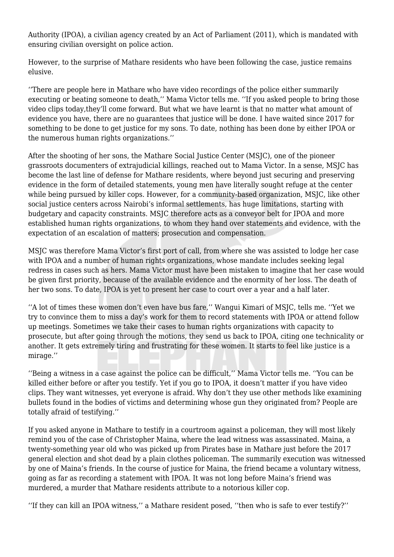Authority (IPOA), a civilian agency created by an Act of Parliament (2011), which is mandated with ensuring civilian oversight on police action.

However, to the surprise of Mathare residents who have been following the case, justice remains elusive.

''There are people here in Mathare who have video recordings of the police either summarily executing or beating someone to death,'' Mama Victor tells me. ''If you asked people to bring those video clips today,they'll come forward. But what we have learnt is that no matter what amount of evidence you have, there are no guarantees that justice will be done. I have waited since 2017 for something to be done to get justice for my sons. To date, nothing has been done by either IPOA or the numerous human rights organizations.''

After the shooting of her sons, the Mathare Social Justice Center (MSJC), one of the pioneer grassroots documenters of extrajudicial killings, reached out to Mama Victor. In a sense, MSJC has become the last line of defense for Mathare residents, where beyond just securing and preserving evidence in the form of detailed statements, young men have literally sought refuge at the center while being pursued by killer cops. However, for a community-based organization, MSJC, like other social justice centers across Nairobi's informal settlements, has huge limitations, starting with budgetary and capacity constraints. MSJC therefore acts as a conveyor belt for IPOA and more established human rights organizations, to whom they hand over statements and evidence, with the expectation of an escalation of matters; prosecution and compensation.

MSJC was therefore Mama Victor's first port of call, from where she was assisted to lodge her case with IPOA and a number of human rights organizations, whose mandate includes seeking legal redress in cases such as hers. Mama Victor must have been mistaken to imagine that her case would be given first priority, because of the available evidence and the enormity of her loss. The death of her two sons. To date, IPOA is yet to present her case to court over a year and a half later.

''A lot of times these women don't even have bus fare,'' Wangui Kimari of MSJC, tells me. ''Yet we try to convince them to miss a day's work for them to record statements with IPOA or attend follow up meetings. Sometimes we take their cases to human rights organizations with capacity to prosecute, but after going through the motions, they send us back to IPOA, citing one technicality or another. It gets extremely tiring and frustrating for these women. It starts to feel like justice is a mirage.''

''Being a witness in a case against the police can be difficult,'' Mama Victor tells me. ''You can be killed either before or after you testify. Yet if you go to IPOA, it doesn't matter if you have video clips. They want witnesses, yet everyone is afraid. Why don't they use other methods like examining bullets found in the bodies of victims and determining whose gun they originated from? People are totally afraid of testifying.''

If you asked anyone in Mathare to testify in a courtroom against a policeman, they will most likely remind you of the case of Christopher Maina, where the lead witness was assassinated. Maina, a twenty-something year old who was picked up from Pirates base in Mathare just before the 2017 general election and shot dead by a plain clothes policeman. The summarily execution was witnessed by one of Maina's friends. In the course of justice for Maina, the friend became a voluntary witness, going as far as recording a statement with IPOA. It was not long before Maina's friend was murdered, a murder that Mathare residents attribute to a notorious killer cop.

''If they can kill an IPOA witness,'' a Mathare resident posed, ''then who is safe to ever testify?''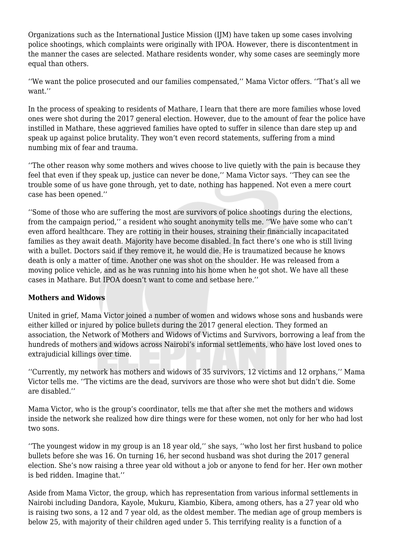Organizations such as the International Justice Mission (IJM) have taken up some cases involving police shootings, which complaints were originally with IPOA. However, there is discontentment in the manner the cases are selected. Mathare residents wonder, why some cases are seemingly more equal than others.

''We want the police prosecuted and our families compensated,'' Mama Victor offers. ''That's all we want.''

In the process of speaking to residents of Mathare, I learn that there are more families whose loved ones were shot during the 2017 general election. However, due to the amount of fear the police have instilled in Mathare, these aggrieved families have opted to suffer in silence than dare step up and speak up against police brutality. They won't even record statements, suffering from a mind numbing mix of fear and trauma.

''The other reason why some mothers and wives choose to live quietly with the pain is because they feel that even if they speak up, justice can never be done,'' Mama Victor says. ''They can see the trouble some of us have gone through, yet to date, nothing has happened. Not even a mere court case has been opened.''

''Some of those who are suffering the most are survivors of police shootings during the elections, from the campaign period,'' a resident who sought anonymity tells me. ''We have some who can't even afford healthcare. They are rotting in their houses, straining their financially incapacitated families as they await death. Majority have become disabled. In fact there's one who is still living with a bullet. Doctors said if they remove it, he would die. He is traumatized because he knows death is only a matter of time. Another one was shot on the shoulder. He was released from a moving police vehicle, and as he was running into his home when he got shot. We have all these cases in Mathare. But IPOA doesn't want to come and setbase here.''

## **Mothers and Widows**

United in grief, Mama Victor joined a number of women and widows whose sons and husbands were either killed or injured by police bullets during the 2017 general election. They formed an association, the Network of Mothers and Widows of Victims and Survivors, borrowing a leaf from the hundreds of mothers and widows across Nairobi's informal settlements, who have lost loved ones to extrajudicial killings over time.

''Currently, my network has mothers and widows of 35 survivors, 12 victims and 12 orphans,'' Mama Victor tells me. ''The victims are the dead, survivors are those who were shot but didn't die. Some are disabled.''

Mama Victor, who is the group's coordinator, tells me that after she met the mothers and widows inside the network she realized how dire things were for these women, not only for her who had lost two sons.

''The youngest widow in my group is an 18 year old,'' she says, ''who lost her first husband to police bullets before she was 16. On turning 16, her second husband was shot during the 2017 general election. She's now raising a three year old without a job or anyone to fend for her. Her own mother is bed ridden. Imagine that.''

Aside from Mama Victor, the group, which has representation from various informal settlements in Nairobi including Dandora, Kayole, Mukuru, Kiambio, Kibera, among others, has a 27 year old who is raising two sons, a 12 and 7 year old, as the oldest member. The median age of group members is below 25, with majority of their children aged under 5. This terrifying reality is a function of a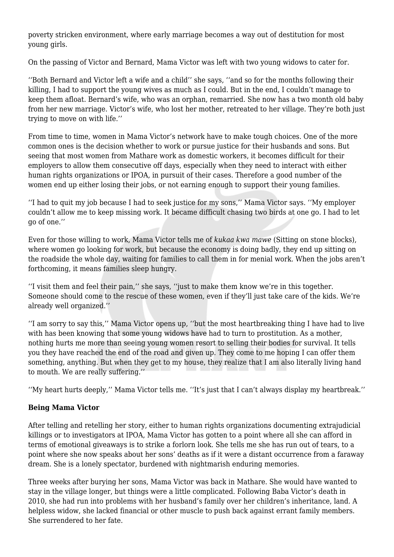poverty stricken environment, where early marriage becomes a way out of destitution for most young girls.

On the passing of Victor and Bernard, Mama Victor was left with two young widows to cater for.

''Both Bernard and Victor left a wife and a child'' she says, ''and so for the months following their killing, I had to support the young wives as much as I could. But in the end, I couldn't manage to keep them afloat. Bernard's wife, who was an orphan, remarried. She now has a two month old baby from her new marriage. Victor's wife, who lost her mother, retreated to her village. They're both just trying to move on with life.''

From time to time, women in Mama Victor's network have to make tough choices. One of the more common ones is the decision whether to work or pursue justice for their husbands and sons. But seeing that most women from Mathare work as domestic workers, it becomes difficult for their employers to allow them consecutive off days, especially when they need to interact with either human rights organizations or IPOA, in pursuit of their cases. Therefore a good number of the women end up either losing their jobs, or not earning enough to support their young families.

''I had to quit my job because I had to seek justice for my sons,'' Mama Victor says. ''My employer couldn't allow me to keep missing work. It became difficult chasing two birds at one go. I had to let go of one.''

Even for those willing to work, Mama Victor tells me of *kukaa kwa mawe* (Sitting on stone blocks), where women go looking for work, but because the economy is doing badly, they end up sitting on the roadside the whole day, waiting for families to call them in for menial work. When the jobs aren't forthcoming, it means families sleep hungry.

''I visit them and feel their pain,'' she says, ''just to make them know we're in this together. Someone should come to the rescue of these women, even if they'll just take care of the kids. We're already well organized.''

''I am sorry to say this,'' Mama Victor opens up, ''but the most heartbreaking thing I have had to live with has been knowing that some young widows have had to turn to prostitution. As a mother, nothing hurts me more than seeing young women resort to selling their bodies for survival. It tells you they have reached the end of the road and given up. They come to me hoping I can offer them something, anything. But when they get to my house, they realize that I am also literally living hand to mouth. We are really suffering.''

''My heart hurts deeply,'' Mama Victor tells me. ''It's just that I can't always display my heartbreak.''

## **Being Mama Victor**

After telling and retelling her story, either to human rights organizations documenting extrajudicial killings or to investigators at IPOA, Mama Victor has gotten to a point where all she can afford in terms of emotional giveaways is to strike a forlorn look. She tells me she has run out of tears, to a point where she now speaks about her sons' deaths as if it were a distant occurrence from a faraway dream. She is a lonely spectator, burdened with nightmarish enduring memories.

Three weeks after burying her sons, Mama Victor was back in Mathare. She would have wanted to stay in the village longer, but things were a little complicated. Following Baba Victor's death in 2010, she had run into problems with her husband's family over her children's inheritance, land. A helpless widow, she lacked financial or other muscle to push back against errant family members. She surrendered to her fate.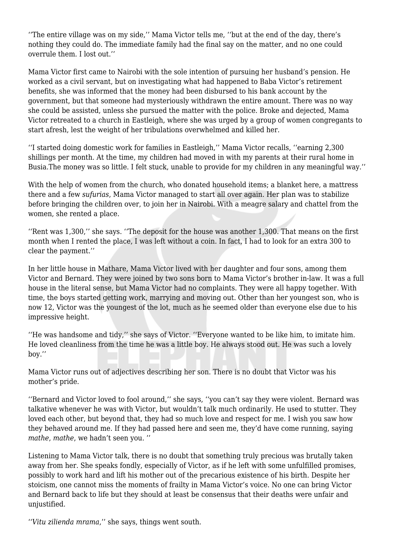''The entire village was on my side,'' Mama Victor tells me, ''but at the end of the day, there's nothing they could do. The immediate family had the final say on the matter, and no one could overrule them. I lost out.''

Mama Victor first came to Nairobi with the sole intention of pursuing her husband's pension. He worked as a civil servant, but on investigating what had happened to Baba Victor's retirement benefits, she was informed that the money had been disbursed to his bank account by the government, but that someone had mysteriously withdrawn the entire amount. There was no way she could be assisted, unless she pursued the matter with the police. Broke and dejected, Mama Victor retreated to a church in Eastleigh, where she was urged by a group of women congregants to start afresh, lest the weight of her tribulations overwhelmed and killed her.

''I started doing domestic work for families in Eastleigh,'' Mama Victor recalls, ''earning 2,300 shillings per month. At the time, my children had moved in with my parents at their rural home in Busia.The money was so little. I felt stuck, unable to provide for my children in any meaningful way.''

With the help of women from the church, who donated household items; a blanket here, a mattress there and a few *sufurias*, Mama Victor managed to start all over again. Her plan was to stabilize before bringing the children over, to join her in Nairobi. With a meagre salary and chattel from the women, she rented a place.

''Rent was 1,300,'' she says. ''The deposit for the house was another 1,300. That means on the first month when I rented the place, I was left without a coin. In fact, I had to look for an extra 300 to clear the payment.''

In her little house in Mathare, Mama Victor lived with her daughter and four sons, among them Victor and Bernard. They were joined by two sons born to Mama Victor's brother in-law. It was a full house in the literal sense, but Mama Victor had no complaints. They were all happy together. With time, the boys started getting work, marrying and moving out. Other than her youngest son, who is now 12, Victor was the youngest of the lot, much as he seemed older than everyone else due to his impressive height.

''He was handsome and tidy,'' she says of Victor. ''Everyone wanted to be like him, to imitate him. He loved cleanliness from the time he was a little boy. He always stood out. He was such a lovely boy.''

Mama Victor runs out of adjectives describing her son. There is no doubt that Victor was his mother's pride.

''Bernard and Victor loved to fool around,'' she says, ''you can't say they were violent. Bernard was talkative whenever he was with Victor, but wouldn't talk much ordinarily. He used to stutter. They loved each other, but beyond that, they had so much love and respect for me. I wish you saw how they behaved around me. If they had passed here and seen me, they'd have come running, saying *mathe*, *mathe*, we hadn't seen you. ''

Listening to Mama Victor talk, there is no doubt that something truly precious was brutally taken away from her. She speaks fondly, especially of Victor, as if he left with some unfulfilled promises, possibly to work hard and lift his mother out of the precarious existence of his birth. Despite her stoicism, one cannot miss the moments of frailty in Mama Victor's voice. No one can bring Victor and Bernard back to life but they should at least be consensus that their deaths were unfair and unjustified.

''*Vitu zilienda mrama*,'' she says, things went south.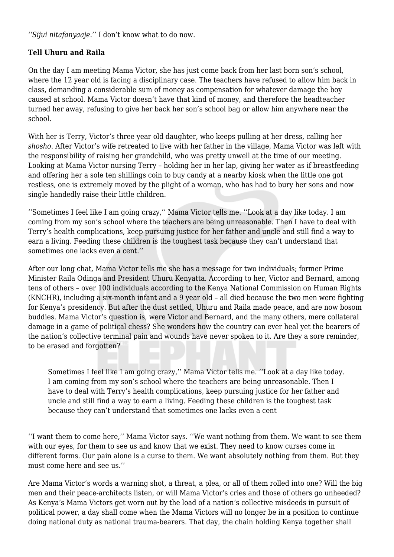''*Sijui nitafanyaaje*.'' I don't know what to do now.

#### **Tell Uhuru and Raila**

On the day I am meeting Mama Victor, she has just come back from her last born son's school, where the 12 year old is facing a disciplinary case. The teachers have refused to allow him back in class, demanding a considerable sum of money as compensation for whatever damage the boy caused at school. Mama Victor doesn't have that kind of money, and therefore the headteacher turned her away, refusing to give her back her son's school bag or allow him anywhere near the school.

With her is Terry, Victor's three year old daughter, who keeps pulling at her dress, calling her *shosho*. After Victor's wife retreated to live with her father in the village, Mama Victor was left with the responsibility of raising her grandchild, who was pretty unwell at the time of our meeting. Looking at Mama Victor nursing Terry – holding her in her lap, giving her water as if breastfeeding and offering her a sole ten shillings coin to buy candy at a nearby kiosk when the little one got restless, one is extremely moved by the plight of a woman, who has had to bury her sons and now single handedly raise their little children.

''Sometimes I feel like I am going crazy,'' Mama Victor tells me. ''Look at a day like today. I am coming from my son's school where the teachers are being unreasonable. Then I have to deal with Terry's health complications, keep pursuing justice for her father and uncle and still find a way to earn a living. Feeding these children is the toughest task because they can't understand that sometimes one lacks even a cent.''

After our long chat, Mama Victor tells me she has a message for two individuals; former Prime Minister Raila Odinga and President Uhuru Kenyatta. According to her, Victor and Bernard, among tens of others – over 100 individuals according to the Kenya National Commission on Human Rights (KNCHR), including a six-month infant and a 9 year old – all died because the two men were fighting for Kenya's presidency. But after the dust settled, Uhuru and Raila made peace, and are now bosom buddies. Mama Victor's question is, were Victor and Bernard, and the many others, mere collateral damage in a game of political chess? She wonders how the country can ever heal yet the bearers of the nation's collective terminal pain and wounds have never spoken to it. Are they a sore reminder, to be erased and forgotten?

Sometimes I feel like I am going crazy,'' Mama Victor tells me. ''Look at a day like today. I am coming from my son's school where the teachers are being unreasonable. Then I have to deal with Terry's health complications, keep pursuing justice for her father and uncle and still find a way to earn a living. Feeding these children is the toughest task because they can't understand that sometimes one lacks even a cent

''I want them to come here,'' Mama Victor says. ''We want nothing from them. We want to see them with our eyes, for them to see us and know that we exist. They need to know curses come in different forms. Our pain alone is a curse to them. We want absolutely nothing from them. But they must come here and see us.''

Are Mama Victor's words a warning shot, a threat, a plea, or all of them rolled into one? Will the big men and their peace-architects listen, or will Mama Victor's cries and those of others go unheeded? As Kenya's Mama Victors get worn out by the load of a nation's collective misdeeds in pursuit of political power, a day shall come when the Mama Victors will no longer be in a position to continue doing national duty as national trauma-bearers. That day, the chain holding Kenya together shall